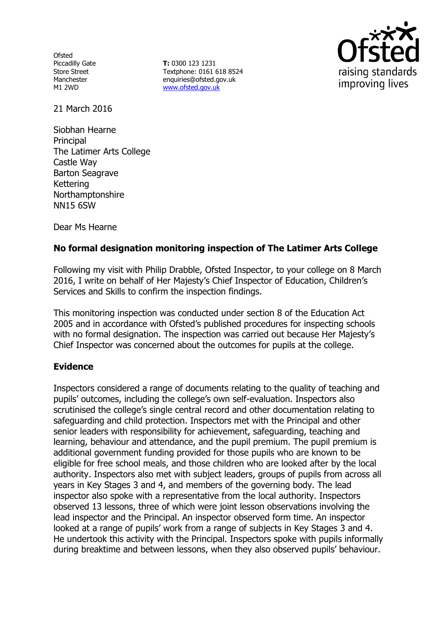**Ofsted** Piccadilly Gate Store Street Manchester M1 2WD

**T:** 0300 123 1231 Textphone: 0161 618 8524 enquiries@ofsted.gov.uk www.ofsted.gov.uk



21 March 2016

Siobhan Hearne **Principal** The Latimer Arts College Castle Way Barton Seagrave Kettering Northamptonshire NN15 6SW

Dear Ms Hearne

# **No formal designation monitoring inspection of The Latimer Arts College**

Following my visit with Philip Drabble, Ofsted Inspector, to your college on 8 March 2016, I write on behalf of Her Majesty's Chief Inspector of Education, Children's Services and Skills to confirm the inspection findings.

This monitoring inspection was conducted under section 8 of the Education Act 2005 and in accordance with Ofsted's published procedures for inspecting schools with no formal designation. The inspection was carried out because Her Majesty's Chief Inspector was concerned about the outcomes for pupils at the college.

### **Evidence**

Inspectors considered a range of documents relating to the quality of teaching and pupils' outcomes, including the college's own self-evaluation. Inspectors also scrutinised the college's single central record and other documentation relating to safeguarding and child protection. Inspectors met with the Principal and other senior leaders with responsibility for achievement, safeguarding, teaching and learning, behaviour and attendance, and the pupil premium. The pupil premium is additional government funding provided for those pupils who are known to be eligible for free school meals, and those children who are looked after by the local authority. Inspectors also met with subject leaders, groups of pupils from across all years in Key Stages 3 and 4, and members of the governing body. The lead inspector also spoke with a representative from the local authority. Inspectors observed 13 lessons, three of which were joint lesson observations involving the lead inspector and the Principal. An inspector observed form time. An inspector looked at a range of pupils' work from a range of subjects in Key Stages 3 and 4. He undertook this activity with the Principal. Inspectors spoke with pupils informally during breaktime and between lessons, when they also observed pupils' behaviour.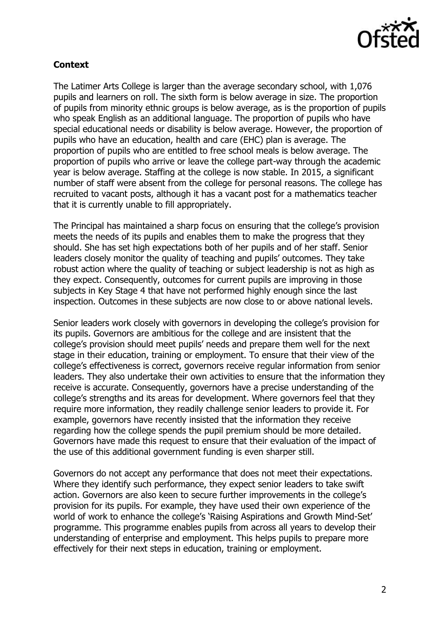

# **Context**

The Latimer Arts College is larger than the average secondary school, with 1,076 pupils and learners on roll. The sixth form is below average in size. The proportion of pupils from minority ethnic groups is below average, as is the proportion of pupils who speak English as an additional language. The proportion of pupils who have special educational needs or disability is below average. However, the proportion of pupils who have an education, health and care (EHC) plan is average. The proportion of pupils who are entitled to free school meals is below average. The proportion of pupils who arrive or leave the college part-way through the academic year is below average. Staffing at the college is now stable. In 2015, a significant number of staff were absent from the college for personal reasons. The college has recruited to vacant posts, although it has a vacant post for a mathematics teacher that it is currently unable to fill appropriately.

The Principal has maintained a sharp focus on ensuring that the college's provision meets the needs of its pupils and enables them to make the progress that they should. She has set high expectations both of her pupils and of her staff. Senior leaders closely monitor the quality of teaching and pupils' outcomes. They take robust action where the quality of teaching or subject leadership is not as high as they expect. Consequently, outcomes for current pupils are improving in those subjects in Key Stage 4 that have not performed highly enough since the last inspection. Outcomes in these subjects are now close to or above national levels.

Senior leaders work closely with governors in developing the college's provision for its pupils. Governors are ambitious for the college and are insistent that the college's provision should meet pupils' needs and prepare them well for the next stage in their education, training or employment. To ensure that their view of the college's effectiveness is correct, governors receive regular information from senior leaders. They also undertake their own activities to ensure that the information they receive is accurate. Consequently, governors have a precise understanding of the college's strengths and its areas for development. Where governors feel that they require more information, they readily challenge senior leaders to provide it. For example, governors have recently insisted that the information they receive regarding how the college spends the pupil premium should be more detailed. Governors have made this request to ensure that their evaluation of the impact of the use of this additional government funding is even sharper still.

Governors do not accept any performance that does not meet their expectations. Where they identify such performance, they expect senior leaders to take swift action. Governors are also keen to secure further improvements in the college's provision for its pupils. For example, they have used their own experience of the world of work to enhance the college's 'Raising Aspirations and Growth Mind-Set' programme. This programme enables pupils from across all years to develop their understanding of enterprise and employment. This helps pupils to prepare more effectively for their next steps in education, training or employment.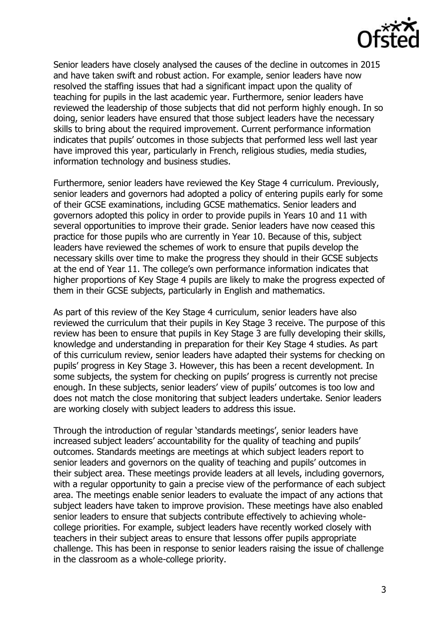

Senior leaders have closely analysed the causes of the decline in outcomes in 2015 and have taken swift and robust action. For example, senior leaders have now resolved the staffing issues that had a significant impact upon the quality of teaching for pupils in the last academic year. Furthermore, senior leaders have reviewed the leadership of those subjects that did not perform highly enough. In so doing, senior leaders have ensured that those subject leaders have the necessary skills to bring about the required improvement. Current performance information indicates that pupils' outcomes in those subjects that performed less well last year have improved this year, particularly in French, religious studies, media studies, information technology and business studies.

Furthermore, senior leaders have reviewed the Key Stage 4 curriculum. Previously, senior leaders and governors had adopted a policy of entering pupils early for some of their GCSE examinations, including GCSE mathematics. Senior leaders and governors adopted this policy in order to provide pupils in Years 10 and 11 with several opportunities to improve their grade. Senior leaders have now ceased this practice for those pupils who are currently in Year 10. Because of this, subject leaders have reviewed the schemes of work to ensure that pupils develop the necessary skills over time to make the progress they should in their GCSE subjects at the end of Year 11. The college's own performance information indicates that higher proportions of Key Stage 4 pupils are likely to make the progress expected of them in their GCSE subjects, particularly in English and mathematics.

As part of this review of the Key Stage 4 curriculum, senior leaders have also reviewed the curriculum that their pupils in Key Stage 3 receive. The purpose of this review has been to ensure that pupils in Key Stage 3 are fully developing their skills, knowledge and understanding in preparation for their Key Stage 4 studies. As part of this curriculum review, senior leaders have adapted their systems for checking on pupils' progress in Key Stage 3. However, this has been a recent development. In some subjects, the system for checking on pupils' progress is currently not precise enough. In these subjects, senior leaders' view of pupils' outcomes is too low and does not match the close monitoring that subject leaders undertake. Senior leaders are working closely with subject leaders to address this issue.

Through the introduction of regular 'standards meetings', senior leaders have increased subject leaders' accountability for the quality of teaching and pupils' outcomes. Standards meetings are meetings at which subject leaders report to senior leaders and governors on the quality of teaching and pupils' outcomes in their subject area. These meetings provide leaders at all levels, including governors, with a regular opportunity to gain a precise view of the performance of each subject area. The meetings enable senior leaders to evaluate the impact of any actions that subject leaders have taken to improve provision. These meetings have also enabled senior leaders to ensure that subjects contribute effectively to achieving wholecollege priorities. For example, subject leaders have recently worked closely with teachers in their subject areas to ensure that lessons offer pupils appropriate challenge. This has been in response to senior leaders raising the issue of challenge in the classroom as a whole-college priority.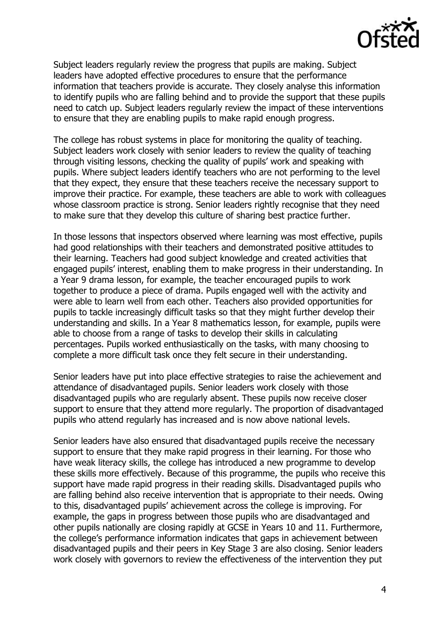

Subject leaders regularly review the progress that pupils are making. Subject leaders have adopted effective procedures to ensure that the performance information that teachers provide is accurate. They closely analyse this information to identify pupils who are falling behind and to provide the support that these pupils need to catch up. Subject leaders regularly review the impact of these interventions to ensure that they are enabling pupils to make rapid enough progress.

The college has robust systems in place for monitoring the quality of teaching. Subject leaders work closely with senior leaders to review the quality of teaching through visiting lessons, checking the quality of pupils' work and speaking with pupils. Where subject leaders identify teachers who are not performing to the level that they expect, they ensure that these teachers receive the necessary support to improve their practice. For example, these teachers are able to work with colleagues whose classroom practice is strong. Senior leaders rightly recognise that they need to make sure that they develop this culture of sharing best practice further.

In those lessons that inspectors observed where learning was most effective, pupils had good relationships with their teachers and demonstrated positive attitudes to their learning. Teachers had good subject knowledge and created activities that engaged pupils' interest, enabling them to make progress in their understanding. In a Year 9 drama lesson, for example, the teacher encouraged pupils to work together to produce a piece of drama. Pupils engaged well with the activity and were able to learn well from each other. Teachers also provided opportunities for pupils to tackle increasingly difficult tasks so that they might further develop their understanding and skills. In a Year 8 mathematics lesson, for example, pupils were able to choose from a range of tasks to develop their skills in calculating percentages. Pupils worked enthusiastically on the tasks, with many choosing to complete a more difficult task once they felt secure in their understanding.

Senior leaders have put into place effective strategies to raise the achievement and attendance of disadvantaged pupils. Senior leaders work closely with those disadvantaged pupils who are regularly absent. These pupils now receive closer support to ensure that they attend more regularly. The proportion of disadvantaged pupils who attend regularly has increased and is now above national levels.

Senior leaders have also ensured that disadvantaged pupils receive the necessary support to ensure that they make rapid progress in their learning. For those who have weak literacy skills, the college has introduced a new programme to develop these skills more effectively. Because of this programme, the pupils who receive this support have made rapid progress in their reading skills. Disadvantaged pupils who are falling behind also receive intervention that is appropriate to their needs. Owing to this, disadvantaged pupils' achievement across the college is improving. For example, the gaps in progress between those pupils who are disadvantaged and other pupils nationally are closing rapidly at GCSE in Years 10 and 11. Furthermore, the college's performance information indicates that gaps in achievement between disadvantaged pupils and their peers in Key Stage 3 are also closing. Senior leaders work closely with governors to review the effectiveness of the intervention they put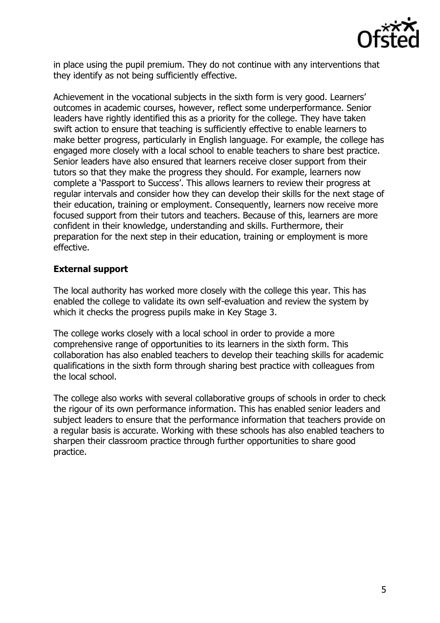

in place using the pupil premium. They do not continue with any interventions that they identify as not being sufficiently effective.

Achievement in the vocational subjects in the sixth form is very good. Learners' outcomes in academic courses, however, reflect some underperformance. Senior leaders have rightly identified this as a priority for the college. They have taken swift action to ensure that teaching is sufficiently effective to enable learners to make better progress, particularly in English language. For example, the college has engaged more closely with a local school to enable teachers to share best practice. Senior leaders have also ensured that learners receive closer support from their tutors so that they make the progress they should. For example, learners now complete a 'Passport to Success'. This allows learners to review their progress at regular intervals and consider how they can develop their skills for the next stage of their education, training or employment. Consequently, learners now receive more focused support from their tutors and teachers. Because of this, learners are more confident in their knowledge, understanding and skills. Furthermore, their preparation for the next step in their education, training or employment is more effective.

#### **External support**

The local authority has worked more closely with the college this year. This has enabled the college to validate its own self-evaluation and review the system by which it checks the progress pupils make in Key Stage 3.

The college works closely with a local school in order to provide a more comprehensive range of opportunities to its learners in the sixth form. This collaboration has also enabled teachers to develop their teaching skills for academic qualifications in the sixth form through sharing best practice with colleagues from the local school.

The college also works with several collaborative groups of schools in order to check the rigour of its own performance information. This has enabled senior leaders and subject leaders to ensure that the performance information that teachers provide on a regular basis is accurate. Working with these schools has also enabled teachers to sharpen their classroom practice through further opportunities to share good practice.